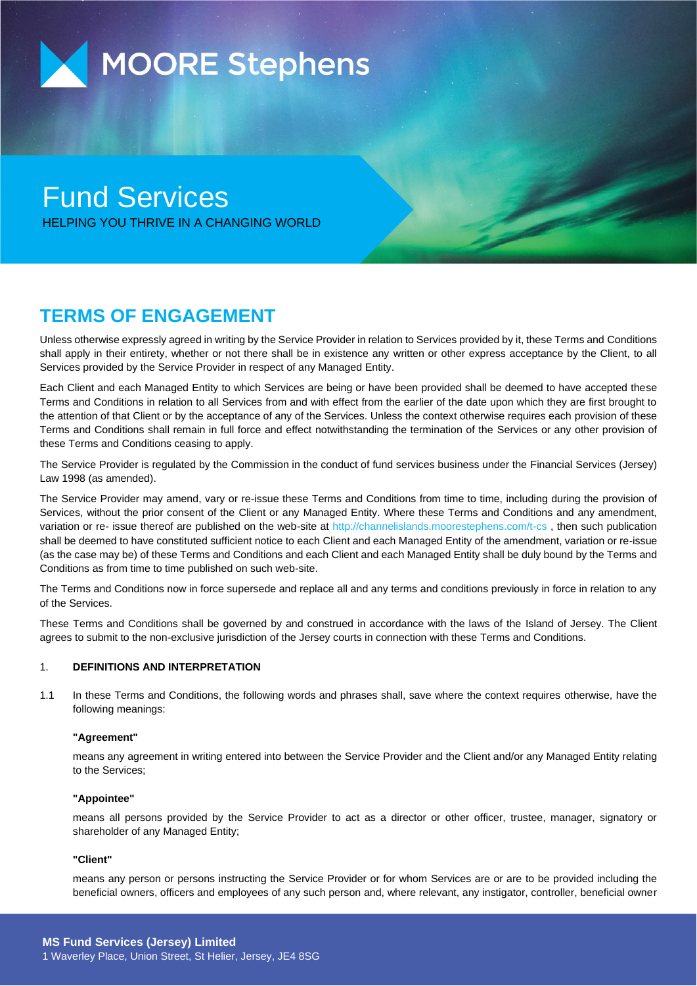

# Fund Services HELPING YOU THRIVE IN A CHANGING WORLD

## **TERMS OF ENGAGEMENT**

Unless otherwise expressly agreed in writing by the Service Provider in relation to Services provided by it, these Terms and Conditions shall apply in their entirety, whether or not there shall be in existence any written or other express acceptance by the Client, to all Services provided by the Service Provider in respect of any Managed Entity.

Each Client and each Managed Entity to which Services are being or have been provided shall be deemed to have accepted these Terms and Conditions in relation to all Services from and with effect from the earlier of the date upon which they are first brought to the attention of that Client or by the acceptance of any of the Services. Unless the context otherwise requires each provision of these Terms and Conditions shall remain in full force and effect notwithstanding the termination of the Services or any other provision of these Terms and Conditions ceasing to apply.

The Service Provider is regulated by the Commission in the conduct of fund services business under the Financial Services (Jersey) Law 1998 (as amended).

The Service Provider may amend, vary or re-issue these Terms and Conditions from time to time, including during the provision of Services, without the prior consent of the Client or any Managed Entity. Where these Terms and Conditions and any amendment, variation or re- issue thereof are published on the web-site at http://channelislands.moorestephens.com/t-cs , then such publication shall be deemed to have constituted sufficient notice to each Client and each Managed Entity of the amendment, variation or re-issue (as the case may be) of these Terms and Conditions and each Client and each Managed Entity shall be duly bound by the Terms and Conditions as from time to time published on such web-site.

The Terms and Conditions now in force supersede and replace all and any terms and conditions previously in force in relation to any of the Services.

These Terms and Conditions shall be governed by and construed in accordance with the laws of the Island of Jersey. The Client agrees to submit to the non-exclusive jurisdiction of the Jersey courts in connection with these Terms and Conditions.

## 1. **DEFINITIONS AND INTERPRETATION**

1.1 In these Terms and Conditions, the following words and phrases shall, save where the context requires otherwise, have the following meanings:

## **"Agreement"**

means any agreement in writing entered into between the Service Provider and the Client and/or any Managed Entity relating to the Services;

#### **"Appointee"**

means all persons provided by the Service Provider to act as a director or other officer, trustee, manager, signatory or shareholder of any Managed Entity;

#### **"Client"**

means any person or persons instructing the Service Provider or for whom Services are or are to be provided including the beneficial owners, officers and employees of any such person and, where relevant, any instigator, controller, beneficial owner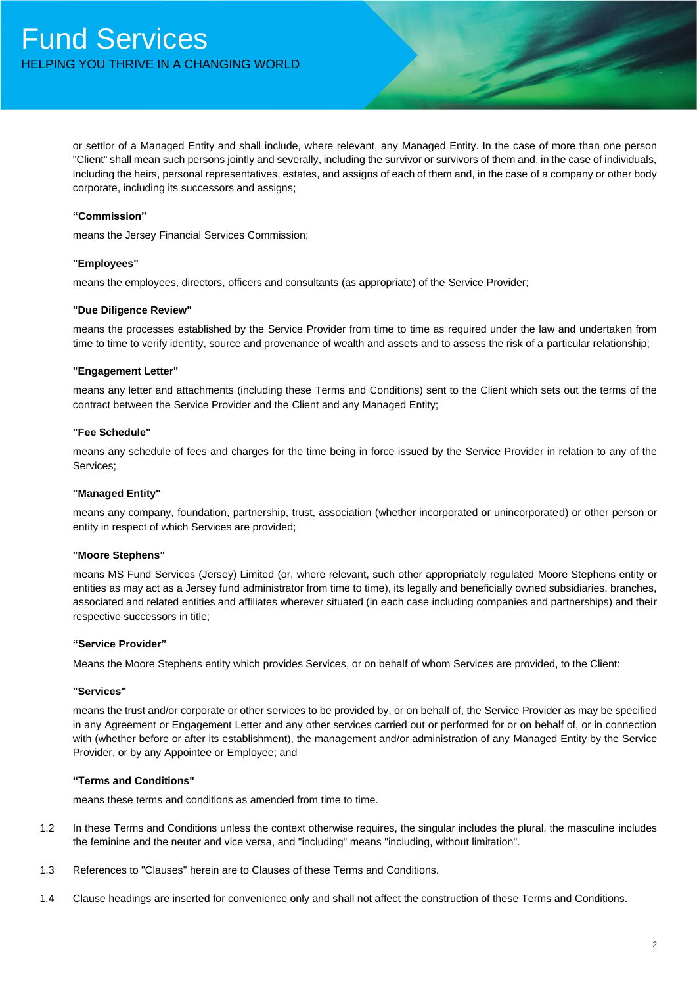or settlor of a Managed Entity and shall include, where relevant, any Managed Entity. In the case of more than one person "Client" shall mean such persons jointly and severally, including the survivor or survivors of them and, in the case of individuals, including the heirs, personal representatives, estates, and assigns of each of them and, in the case of a company or other body corporate, including its successors and assigns;

## **"Commission"**

means the Jersey Financial Services Commission;

## **"Employees"**

means the employees, directors, officers and consultants (as appropriate) of the Service Provider;

#### **"Due Diligence Review"**

means the processes established by the Service Provider from time to time as required under the law and undertaken from time to time to verify identity, source and provenance of wealth and assets and to assess the risk of a particular relationship;

#### **"Engagement Letter"**

means any letter and attachments (including these Terms and Conditions) sent to the Client which sets out the terms of the contract between the Service Provider and the Client and any Managed Entity;

#### **"Fee Schedule"**

means any schedule of fees and charges for the time being in force issued by the Service Provider in relation to any of the Services;

## **"Managed Entity"**

means any company, foundation, partnership, trust, association (whether incorporated or unincorporated) or other person or entity in respect of which Services are provided;

#### **"Moore Stephens"**

means MS Fund Services (Jersey) Limited (or, where relevant, such other appropriately regulated Moore Stephens entity or entities as may act as a Jersey fund administrator from time to time), its legally and beneficially owned subsidiaries, branches, associated and related entities and affiliates wherever situated (in each case including companies and partnerships) and their respective successors in title;

#### **"Service Provider"**

Means the Moore Stephens entity which provides Services, or on behalf of whom Services are provided, to the Client:

#### **"Services"**

means the trust and/or corporate or other services to be provided by, or on behalf of, the Service Provider as may be specified in any Agreement or Engagement Letter and any other services carried out or performed for or on behalf of, or in connection with (whether before or after its establishment), the management and/or administration of any Managed Entity by the Service Provider, or by any Appointee or Employee; and

#### **"Terms and Conditions"**

means these terms and conditions as amended from time to time.

- 1.2 In these Terms and Conditions unless the context otherwise requires, the singular includes the plural, the masculine includes the feminine and the neuter and vice versa, and "including" means "including, without limitation".
- 1.3 References to "Clauses" herein are to Clauses of these Terms and Conditions.
- 1.4 Clause headings are inserted for convenience only and shall not affect the construction of these Terms and Conditions.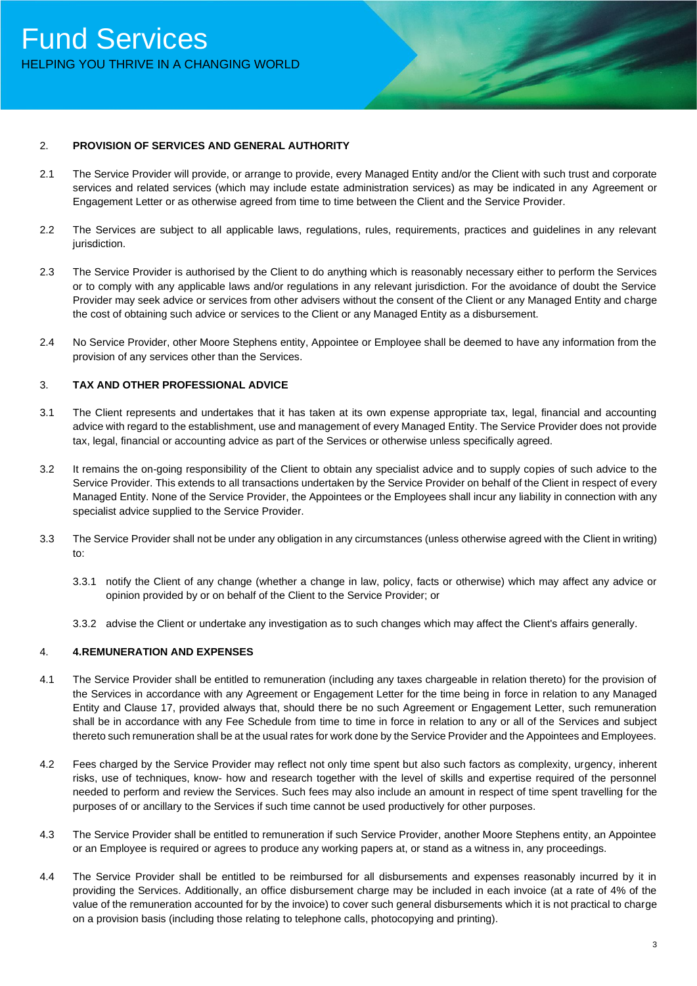## 2. **PROVISION OF SERVICES AND GENERAL AUTHORITY**

- 2.1 The Service Provider will provide, or arrange to provide, every Managed Entity and/or the Client with such trust and corporate services and related services (which may include estate administration services) as may be indicated in any Agreement or Engagement Letter or as otherwise agreed from time to time between the Client and the Service Provider.
- 2.2 The Services are subject to all applicable laws, regulations, rules, requirements, practices and guidelines in any relevant jurisdiction.
- 2.3 The Service Provider is authorised by the Client to do anything which is reasonably necessary either to perform the Services or to comply with any applicable laws and/or regulations in any relevant jurisdiction. For the avoidance of doubt the Service Provider may seek advice or services from other advisers without the consent of the Client or any Managed Entity and charge the cost of obtaining such advice or services to the Client or any Managed Entity as a disbursement.
- 2.4 No Service Provider, other Moore Stephens entity, Appointee or Employee shall be deemed to have any information from the provision of any services other than the Services.

## 3. **TAX AND OTHER PROFESSIONAL ADVICE**

- 3.1 The Client represents and undertakes that it has taken at its own expense appropriate tax, legal, financial and accounting advice with regard to the establishment, use and management of every Managed Entity. The Service Provider does not provide tax, legal, financial or accounting advice as part of the Services or otherwise unless specifically agreed.
- 3.2 It remains the on-going responsibility of the Client to obtain any specialist advice and to supply copies of such advice to the Service Provider. This extends to all transactions undertaken by the Service Provider on behalf of the Client in respect of every Managed Entity. None of the Service Provider, the Appointees or the Employees shall incur any liability in connection with any specialist advice supplied to the Service Provider.
- 3.3 The Service Provider shall not be under any obligation in any circumstances (unless otherwise agreed with the Client in writing) to:
	- 3.3.1 notify the Client of any change (whether a change in law, policy, facts or otherwise) which may affect any advice or opinion provided by or on behalf of the Client to the Service Provider; or
	- 3.3.2 advise the Client or undertake any investigation as to such changes which may affect the Client's affairs generally.

#### 4. **4.REMUNERATION AND EXPENSES**

- 4.1 The Service Provider shall be entitled to remuneration (including any taxes chargeable in relation thereto) for the provision of the Services in accordance with any Agreement or Engagement Letter for the time being in force in relation to any Managed Entity and Clause 17, provided always that, should there be no such Agreement or Engagement Letter, such remuneration shall be in accordance with any Fee Schedule from time to time in force in relation to any or all of the Services and subject thereto such remuneration shall be at the usual rates for work done by the Service Provider and the Appointees and Employees.
- 4.2 Fees charged by the Service Provider may reflect not only time spent but also such factors as complexity, urgency, inherent risks, use of techniques, know- how and research together with the level of skills and expertise required of the personnel needed to perform and review the Services. Such fees may also include an amount in respect of time spent travelling for the purposes of or ancillary to the Services if such time cannot be used productively for other purposes.
- 4.3 The Service Provider shall be entitled to remuneration if such Service Provider, another Moore Stephens entity, an Appointee or an Employee is required or agrees to produce any working papers at, or stand as a witness in, any proceedings.
- 4.4 The Service Provider shall be entitled to be reimbursed for all disbursements and expenses reasonably incurred by it in providing the Services. Additionally, an office disbursement charge may be included in each invoice (at a rate of 4% of the value of the remuneration accounted for by the invoice) to cover such general disbursements which it is not practical to charge on a provision basis (including those relating to telephone calls, photocopying and printing).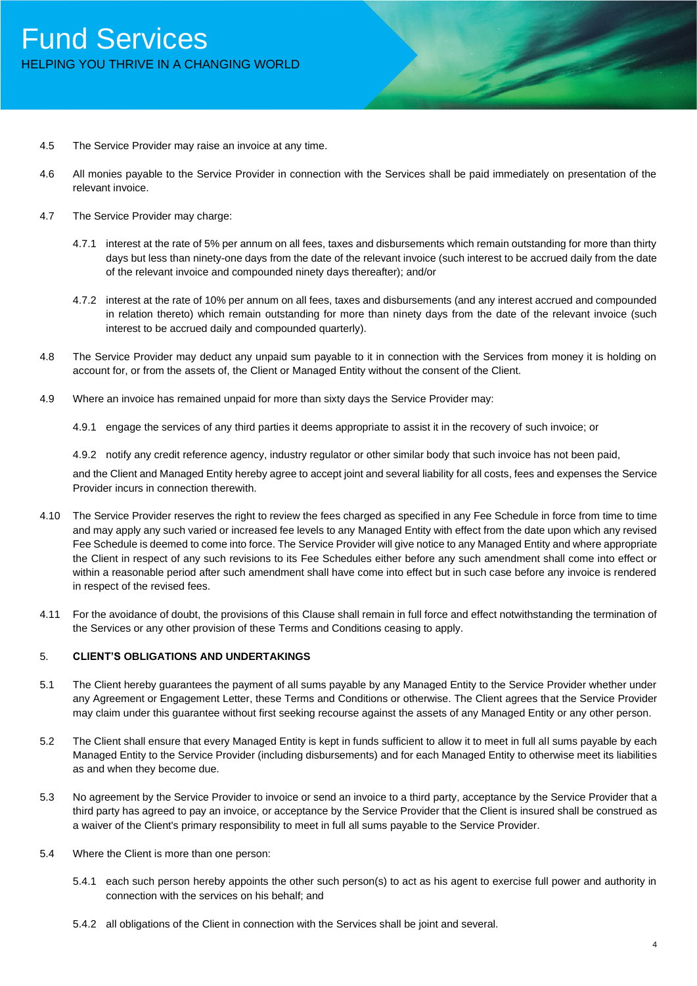## Fund Services HELPING YOU THRIVE IN A CHANGING WORLD

- 4.5 The Service Provider may raise an invoice at any time.
- 4.6 All monies payable to the Service Provider in connection with the Services shall be paid immediately on presentation of the relevant invoice.
- 4.7 The Service Provider may charge:
	- 4.7.1 interest at the rate of 5% per annum on all fees, taxes and disbursements which remain outstanding for more than thirty days but less than ninety-one days from the date of the relevant invoice (such interest to be accrued daily from the date of the relevant invoice and compounded ninety days thereafter); and/or
	- 4.7.2 interest at the rate of 10% per annum on all fees, taxes and disbursements (and any interest accrued and compounded in relation thereto) which remain outstanding for more than ninety days from the date of the relevant invoice (such interest to be accrued daily and compounded quarterly).
- 4.8 The Service Provider may deduct any unpaid sum payable to it in connection with the Services from money it is holding on account for, or from the assets of, the Client or Managed Entity without the consent of the Client.
- 4.9 Where an invoice has remained unpaid for more than sixty days the Service Provider may:

4.9.1 engage the services of any third parties it deems appropriate to assist it in the recovery of such invoice; or

4.9.2 notify any credit reference agency, industry regulator or other similar body that such invoice has not been paid,

and the Client and Managed Entity hereby agree to accept joint and several liability for all costs, fees and expenses the Service Provider incurs in connection therewith.

- 4.10 The Service Provider reserves the right to review the fees charged as specified in any Fee Schedule in force from time to time and may apply any such varied or increased fee levels to any Managed Entity with effect from the date upon which any revised Fee Schedule is deemed to come into force. The Service Provider will give notice to any Managed Entity and where appropriate the Client in respect of any such revisions to its Fee Schedules either before any such amendment shall come into effect or within a reasonable period after such amendment shall have come into effect but in such case before any invoice is rendered in respect of the revised fees.
- 4.11 For the avoidance of doubt, the provisions of this Clause shall remain in full force and effect notwithstanding the termination of the Services or any other provision of these Terms and Conditions ceasing to apply.

#### 5. **CLIENT'S OBLIGATIONS AND UNDERTAKINGS**

- 5.1 The Client hereby guarantees the payment of all sums payable by any Managed Entity to the Service Provider whether under any Agreement or Engagement Letter, these Terms and Conditions or otherwise. The Client agrees that the Service Provider may claim under this guarantee without first seeking recourse against the assets of any Managed Entity or any other person.
- 5.2 The Client shall ensure that every Managed Entity is kept in funds sufficient to allow it to meet in full all sums payable by each Managed Entity to the Service Provider (including disbursements) and for each Managed Entity to otherwise meet its liabilities as and when they become due.
- 5.3 No agreement by the Service Provider to invoice or send an invoice to a third party, acceptance by the Service Provider that a third party has agreed to pay an invoice, or acceptance by the Service Provider that the Client is insured shall be construed as a waiver of the Client's primary responsibility to meet in full all sums payable to the Service Provider.
- 5.4 Where the Client is more than one person:
	- 5.4.1 each such person hereby appoints the other such person(s) to act as his agent to exercise full power and authority in connection with the services on his behalf; and
	- 5.4.2 all obligations of the Client in connection with the Services shall be joint and several.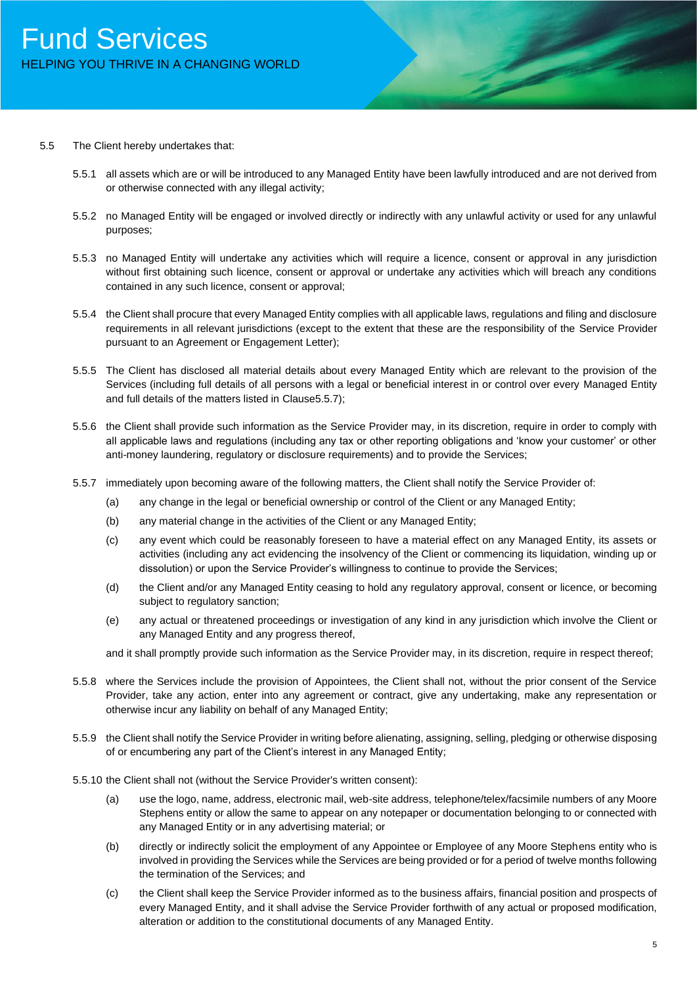#### 5.5 The Client hereby undertakes that:

- 5.5.1 all assets which are or will be introduced to any Managed Entity have been lawfully introduced and are not derived from or otherwise connected with any illegal activity;
- 5.5.2 no Managed Entity will be engaged or involved directly or indirectly with any unlawful activity or used for any unlawful purposes;
- 5.5.3 no Managed Entity will undertake any activities which will require a licence, consent or approval in any jurisdiction without first obtaining such licence, consent or approval or undertake any activities which will breach any conditions contained in any such licence, consent or approval;
- 5.5.4 the Client shall procure that every Managed Entity complies with all applicable laws, regulations and filing and disclosure requirements in all relevant jurisdictions (except to the extent that these are the responsibility of the Service Provider pursuant to an Agreement or Engagement Letter);
- 5.5.5 The Client has disclosed all material details about every Managed Entity which are relevant to the provision of the Services (including full details of all persons with a legal or beneficial interest in or control over every Managed Entity and full details of the matters listed in Clause5.5.7);
- 5.5.6 the Client shall provide such information as the Service Provider may, in its discretion, require in order to comply with all applicable laws and regulations (including any tax or other reporting obligations and 'know your customer' or other anti-money laundering, regulatory or disclosure requirements) and to provide the Services;
- 5.5.7 immediately upon becoming aware of the following matters, the Client shall notify the Service Provider of:
	- (a) any change in the legal or beneficial ownership or control of the Client or any Managed Entity;
	- (b) any material change in the activities of the Client or any Managed Entity;
	- (c) any event which could be reasonably foreseen to have a material effect on any Managed Entity, its assets or activities (including any act evidencing the insolvency of the Client or commencing its liquidation, winding up or dissolution) or upon the Service Provider's willingness to continue to provide the Services;
	- (d) the Client and/or any Managed Entity ceasing to hold any regulatory approval, consent or licence, or becoming subject to regulatory sanction;
	- (e) any actual or threatened proceedings or investigation of any kind in any jurisdiction which involve the Client or any Managed Entity and any progress thereof,

and it shall promptly provide such information as the Service Provider may, in its discretion, require in respect thereof;

- 5.5.8 where the Services include the provision of Appointees, the Client shall not, without the prior consent of the Service Provider, take any action, enter into any agreement or contract, give any undertaking, make any representation or otherwise incur any liability on behalf of any Managed Entity;
- 5.5.9 the Client shall notify the Service Provider in writing before alienating, assigning, selling, pledging or otherwise disposing of or encumbering any part of the Client's interest in any Managed Entity;
- 5.5.10 the Client shall not (without the Service Provider's written consent):
	- (a) use the logo, name, address, electronic mail, web-site address, telephone/telex/facsimile numbers of any Moore Stephens entity or allow the same to appear on any notepaper or documentation belonging to or connected with any Managed Entity or in any advertising material; or
	- (b) directly or indirectly solicit the employment of any Appointee or Employee of any Moore Stephens entity who is involved in providing the Services while the Services are being provided or for a period of twelve months following the termination of the Services; and
	- (c) the Client shall keep the Service Provider informed as to the business affairs, financial position and prospects of every Managed Entity, and it shall advise the Service Provider forthwith of any actual or proposed modification, alteration or addition to the constitutional documents of any Managed Entity.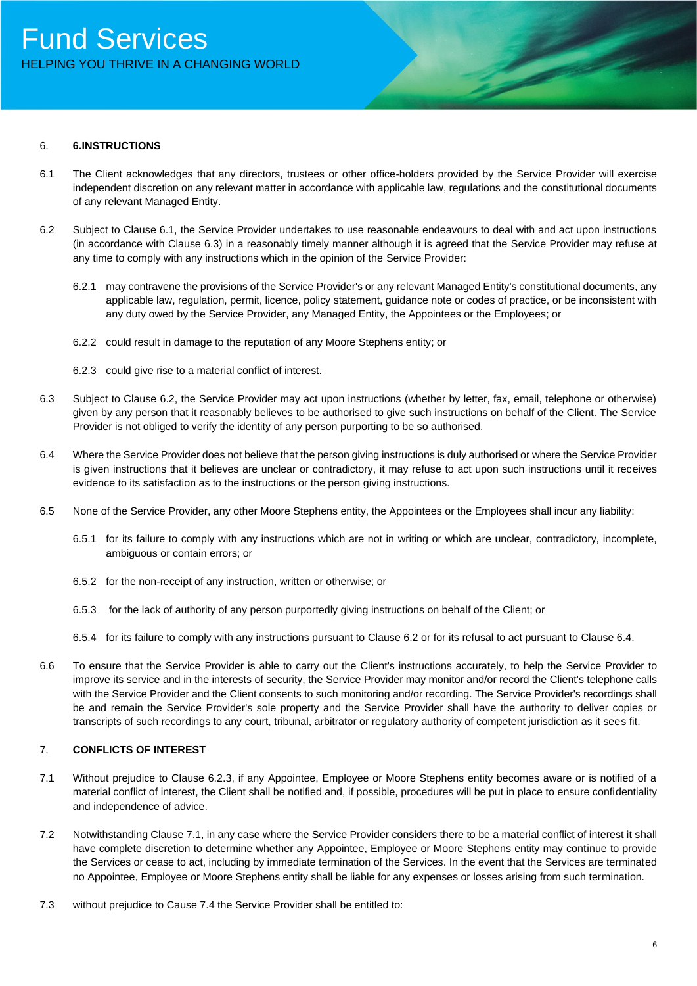## 6. **6.INSTRUCTIONS**

- 6.1 The Client acknowledges that any directors, trustees or other office-holders provided by the Service Provider will exercise independent discretion on any relevant matter in accordance with applicable law, regulations and the constitutional documents of any relevant Managed Entity.
- 6.2 Subject to Clause 6.1, the Service Provider undertakes to use reasonable endeavours to deal with and act upon instructions (in accordance with Clause 6.3) in a reasonably timely manner although it is agreed that the Service Provider may refuse at any time to comply with any instructions which in the opinion of the Service Provider:
	- 6.2.1 may contravene the provisions of the Service Provider's or any relevant Managed Entity's constitutional documents, any applicable law, regulation, permit, licence, policy statement, guidance note or codes of practice, or be inconsistent with any duty owed by the Service Provider, any Managed Entity, the Appointees or the Employees; or
	- 6.2.2 could result in damage to the reputation of any Moore Stephens entity; or
	- 6.2.3 could give rise to a material conflict of interest.
- 6.3 Subject to Clause 6.2, the Service Provider may act upon instructions (whether by letter, fax, email, telephone or otherwise) given by any person that it reasonably believes to be authorised to give such instructions on behalf of the Client. The Service Provider is not obliged to verify the identity of any person purporting to be so authorised.
- 6.4 Where the Service Provider does not believe that the person giving instructions is duly authorised or where the Service Provider is given instructions that it believes are unclear or contradictory, it may refuse to act upon such instructions until it receives evidence to its satisfaction as to the instructions or the person giving instructions.
- 6.5 None of the Service Provider, any other Moore Stephens entity, the Appointees or the Employees shall incur any liability:
	- 6.5.1 for its failure to comply with any instructions which are not in writing or which are unclear, contradictory, incomplete, ambiguous or contain errors; or
	- 6.5.2 for the non-receipt of any instruction, written or otherwise; or
	- 6.5.3 for the lack of authority of any person purportedly giving instructions on behalf of the Client; or
	- 6.5.4 for its failure to comply with any instructions pursuant to Clause 6.2 or for its refusal to act pursuant to Clause 6.4.
- 6.6 To ensure that the Service Provider is able to carry out the Client's instructions accurately, to help the Service Provider to improve its service and in the interests of security, the Service Provider may monitor and/or record the Client's telephone calls with the Service Provider and the Client consents to such monitoring and/or recording. The Service Provider's recordings shall be and remain the Service Provider's sole property and the Service Provider shall have the authority to deliver copies or transcripts of such recordings to any court, tribunal, arbitrator or regulatory authority of competent jurisdiction as it sees fit.

## 7. **CONFLICTS OF INTEREST**

- 7.1 Without prejudice to Clause 6.2.3, if any Appointee, Employee or Moore Stephens entity becomes aware or is notified of a material conflict of interest, the Client shall be notified and, if possible, procedures will be put in place to ensure confidentiality and independence of advice.
- 7.2 Notwithstanding Clause 7.1, in any case where the Service Provider considers there to be a material conflict of interest it shall have complete discretion to determine whether any Appointee, Employee or Moore Stephens entity may continue to provide the Services or cease to act, including by immediate termination of the Services. In the event that the Services are terminated no Appointee, Employee or Moore Stephens entity shall be liable for any expenses or losses arising from such termination.
- 7.3 without prejudice to Cause 7.4 the Service Provider shall be entitled to: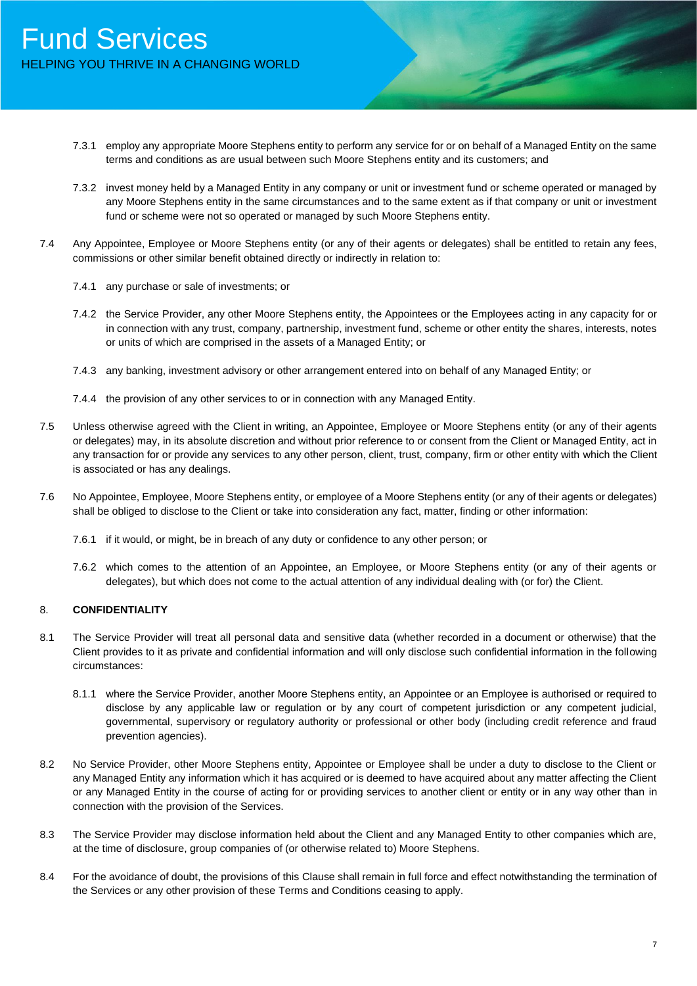- 7.3.1 employ any appropriate Moore Stephens entity to perform any service for or on behalf of a Managed Entity on the same terms and conditions as are usual between such Moore Stephens entity and its customers; and
- 7.3.2 invest money held by a Managed Entity in any company or unit or investment fund or scheme operated or managed by any Moore Stephens entity in the same circumstances and to the same extent as if that company or unit or investment fund or scheme were not so operated or managed by such Moore Stephens entity.
- 7.4 Any Appointee, Employee or Moore Stephens entity (or any of their agents or delegates) shall be entitled to retain any fees, commissions or other similar benefit obtained directly or indirectly in relation to:
	- 7.4.1 any purchase or sale of investments; or
	- 7.4.2 the Service Provider, any other Moore Stephens entity, the Appointees or the Employees acting in any capacity for or in connection with any trust, company, partnership, investment fund, scheme or other entity the shares, interests, notes or units of which are comprised in the assets of a Managed Entity; or
	- 7.4.3 any banking, investment advisory or other arrangement entered into on behalf of any Managed Entity; or
	- 7.4.4 the provision of any other services to or in connection with any Managed Entity.
- 7.5 Unless otherwise agreed with the Client in writing, an Appointee, Employee or Moore Stephens entity (or any of their agents or delegates) may, in its absolute discretion and without prior reference to or consent from the Client or Managed Entity, act in any transaction for or provide any services to any other person, client, trust, company, firm or other entity with which the Client is associated or has any dealings.
- 7.6 No Appointee, Employee, Moore Stephens entity, or employee of a Moore Stephens entity (or any of their agents or delegates) shall be obliged to disclose to the Client or take into consideration any fact, matter, finding or other information:
	- 7.6.1 if it would, or might, be in breach of any duty or confidence to any other person; or
	- 7.6.2 which comes to the attention of an Appointee, an Employee, or Moore Stephens entity (or any of their agents or delegates), but which does not come to the actual attention of any individual dealing with (or for) the Client.

## 8. **CONFIDENTIALITY**

- 8.1 The Service Provider will treat all personal data and sensitive data (whether recorded in a document or otherwise) that the Client provides to it as private and confidential information and will only disclose such confidential information in the following circumstances:
	- 8.1.1 where the Service Provider, another Moore Stephens entity, an Appointee or an Employee is authorised or required to disclose by any applicable law or regulation or by any court of competent jurisdiction or any competent judicial, governmental, supervisory or regulatory authority or professional or other body (including credit reference and fraud prevention agencies).
- 8.2 No Service Provider, other Moore Stephens entity, Appointee or Employee shall be under a duty to disclose to the Client or any Managed Entity any information which it has acquired or is deemed to have acquired about any matter affecting the Client or any Managed Entity in the course of acting for or providing services to another client or entity or in any way other than in connection with the provision of the Services.
- 8.3 The Service Provider may disclose information held about the Client and any Managed Entity to other companies which are, at the time of disclosure, group companies of (or otherwise related to) Moore Stephens.
- 8.4 For the avoidance of doubt, the provisions of this Clause shall remain in full force and effect notwithstanding the termination of the Services or any other provision of these Terms and Conditions ceasing to apply.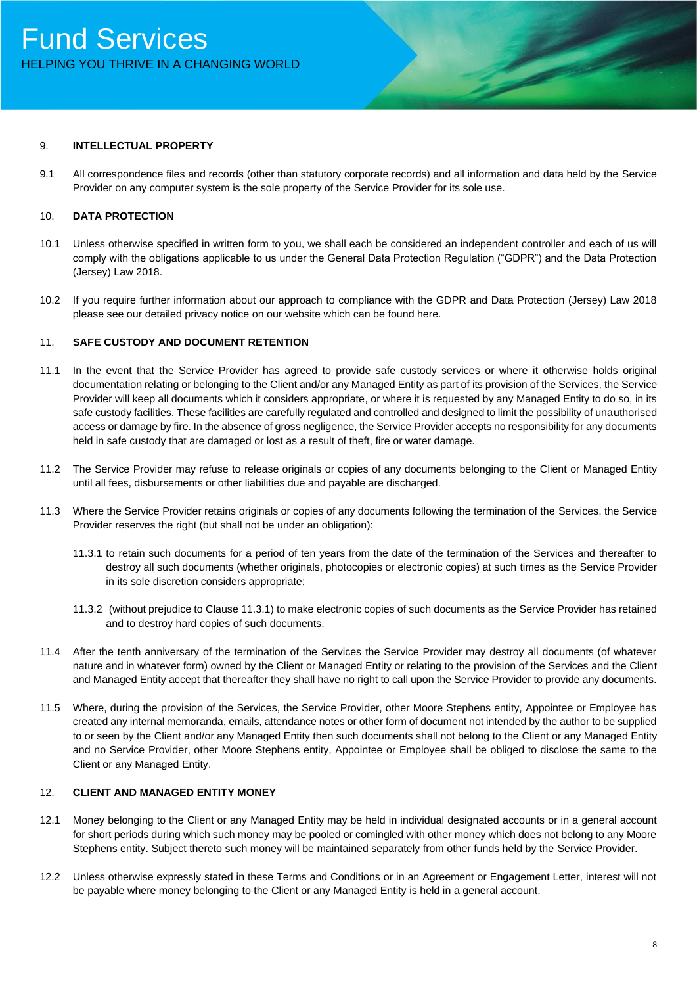#### 9. **INTELLECTUAL PROPERTY**

9.1 All correspondence files and records (other than statutory corporate records) and all information and data held by the Service Provider on any computer system is the sole property of the Service Provider for its sole use.

## 10. **DATA PROTECTION**

- 10.1 Unless otherwise specified in written form to you, we shall each be considered an independent controller and each of us will comply with the obligations applicable to us under the General Data Protection Regulation ("GDPR") and the Data Protection (Jersey) Law 2018.
- 10.2 If you require further information about our approach to compliance with the GDPR and Data Protection (Jersey) Law 2018 please see our detailed privacy notice on our website which can be found here.

## 11. **SAFE CUSTODY AND DOCUMENT RETENTION**

- 11.1 In the event that the Service Provider has agreed to provide safe custody services or where it otherwise holds original documentation relating or belonging to the Client and/or any Managed Entity as part of its provision of the Services, the Service Provider will keep all documents which it considers appropriate, or where it is requested by any Managed Entity to do so, in its safe custody facilities. These facilities are carefully regulated and controlled and designed to limit the possibility of unauthorised access or damage by fire. In the absence of gross negligence, the Service Provider accepts no responsibility for any documents held in safe custody that are damaged or lost as a result of theft, fire or water damage.
- 11.2 The Service Provider may refuse to release originals or copies of any documents belonging to the Client or Managed Entity until all fees, disbursements or other liabilities due and payable are discharged.
- 11.3 Where the Service Provider retains originals or copies of any documents following the termination of the Services, the Service Provider reserves the right (but shall not be under an obligation):
	- 11.3.1 to retain such documents for a period of ten years from the date of the termination of the Services and thereafter to destroy all such documents (whether originals, photocopies or electronic copies) at such times as the Service Provider in its sole discretion considers appropriate;
	- 11.3.2 (without prejudice to Clause 11.3.1) to make electronic copies of such documents as the Service Provider has retained and to destroy hard copies of such documents.
- 11.4 After the tenth anniversary of the termination of the Services the Service Provider may destroy all documents (of whatever nature and in whatever form) owned by the Client or Managed Entity or relating to the provision of the Services and the Client and Managed Entity accept that thereafter they shall have no right to call upon the Service Provider to provide any documents.
- 11.5 Where, during the provision of the Services, the Service Provider, other Moore Stephens entity, Appointee or Employee has created any internal memoranda, emails, attendance notes or other form of document not intended by the author to be supplied to or seen by the Client and/or any Managed Entity then such documents shall not belong to the Client or any Managed Entity and no Service Provider, other Moore Stephens entity, Appointee or Employee shall be obliged to disclose the same to the Client or any Managed Entity.

## 12. **CLIENT AND MANAGED ENTITY MONEY**

- 12.1 Money belonging to the Client or any Managed Entity may be held in individual designated accounts or in a general account for short periods during which such money may be pooled or comingled with other money which does not belong to any Moore Stephens entity. Subject thereto such money will be maintained separately from other funds held by the Service Provider.
- 12.2 Unless otherwise expressly stated in these Terms and Conditions or in an Agreement or Engagement Letter, interest will not be payable where money belonging to the Client or any Managed Entity is held in a general account.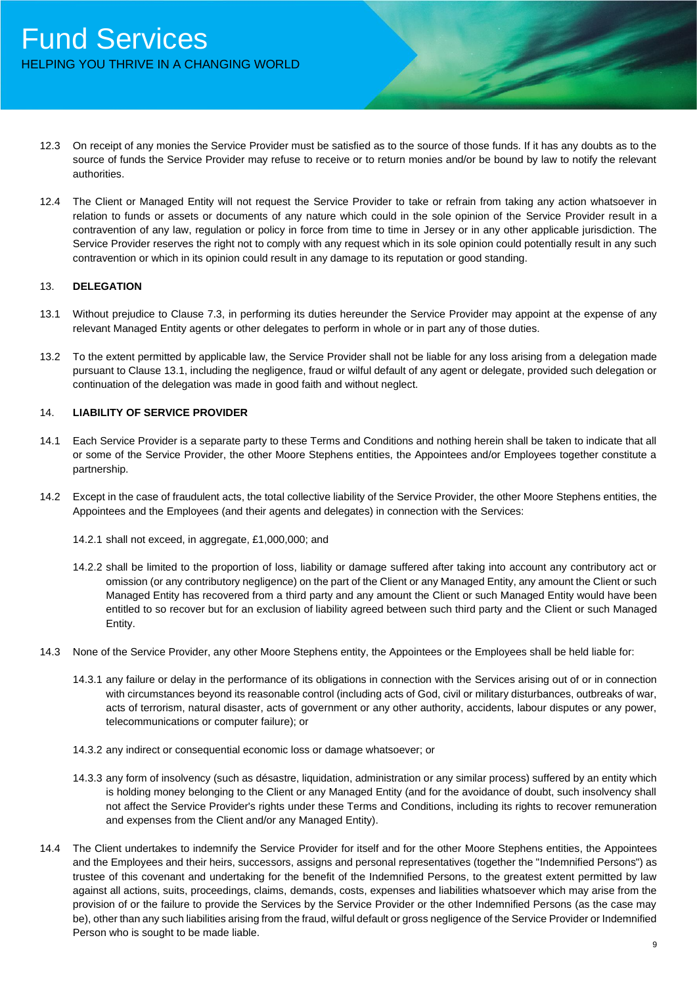- 12.3 On receipt of any monies the Service Provider must be satisfied as to the source of those funds. If it has any doubts as to the source of funds the Service Provider may refuse to receive or to return monies and/or be bound by law to notify the relevant authorities.
- 12.4 The Client or Managed Entity will not request the Service Provider to take or refrain from taking any action whatsoever in relation to funds or assets or documents of any nature which could in the sole opinion of the Service Provider result in a contravention of any law, regulation or policy in force from time to time in Jersey or in any other applicable jurisdiction. The Service Provider reserves the right not to comply with any request which in its sole opinion could potentially result in any such contravention or which in its opinion could result in any damage to its reputation or good standing.

## 13. **DELEGATION**

- 13.1 Without prejudice to Clause 7.3, in performing its duties hereunder the Service Provider may appoint at the expense of any relevant Managed Entity agents or other delegates to perform in whole or in part any of those duties.
- 13.2 To the extent permitted by applicable law, the Service Provider shall not be liable for any loss arising from a delegation made pursuant to Clause 13.1, including the negligence, fraud or wilful default of any agent or delegate, provided such delegation or continuation of the delegation was made in good faith and without neglect.

## 14. **LIABILITY OF SERVICE PROVIDER**

- 14.1 Each Service Provider is a separate party to these Terms and Conditions and nothing herein shall be taken to indicate that all or some of the Service Provider, the other Moore Stephens entities, the Appointees and/or Employees together constitute a partnership.
- 14.2 Except in the case of fraudulent acts, the total collective liability of the Service Provider, the other Moore Stephens entities, the Appointees and the Employees (and their agents and delegates) in connection with the Services:
	- 14.2.1 shall not exceed, in aggregate, £1,000,000; and
	- 14.2.2 shall be limited to the proportion of loss, liability or damage suffered after taking into account any contributory act or omission (or any contributory negligence) on the part of the Client or any Managed Entity, any amount the Client or such Managed Entity has recovered from a third party and any amount the Client or such Managed Entity would have been entitled to so recover but for an exclusion of liability agreed between such third party and the Client or such Managed Entity.
- 14.3 None of the Service Provider, any other Moore Stephens entity, the Appointees or the Employees shall be held liable for:
	- 14.3.1 any failure or delay in the performance of its obligations in connection with the Services arising out of or in connection with circumstances beyond its reasonable control (including acts of God, civil or military disturbances, outbreaks of war, acts of terrorism, natural disaster, acts of government or any other authority, accidents, labour disputes or any power, telecommunications or computer failure); or
	- 14.3.2 any indirect or consequential economic loss or damage whatsoever; or
	- 14.3.3 any form of insolvency (such as désastre, liquidation, administration or any similar process) suffered by an entity which is holding money belonging to the Client or any Managed Entity (and for the avoidance of doubt, such insolvency shall not affect the Service Provider's rights under these Terms and Conditions, including its rights to recover remuneration and expenses from the Client and/or any Managed Entity).
- 14.4 The Client undertakes to indemnify the Service Provider for itself and for the other Moore Stephens entities, the Appointees and the Employees and their heirs, successors, assigns and personal representatives (together the "Indemnified Persons") as trustee of this covenant and undertaking for the benefit of the Indemnified Persons, to the greatest extent permitted by law against all actions, suits, proceedings, claims, demands, costs, expenses and liabilities whatsoever which may arise from the provision of or the failure to provide the Services by the Service Provider or the other Indemnified Persons (as the case may be), other than any such liabilities arising from the fraud, wilful default or gross negligence of the Service Provider or Indemnified Person who is sought to be made liable.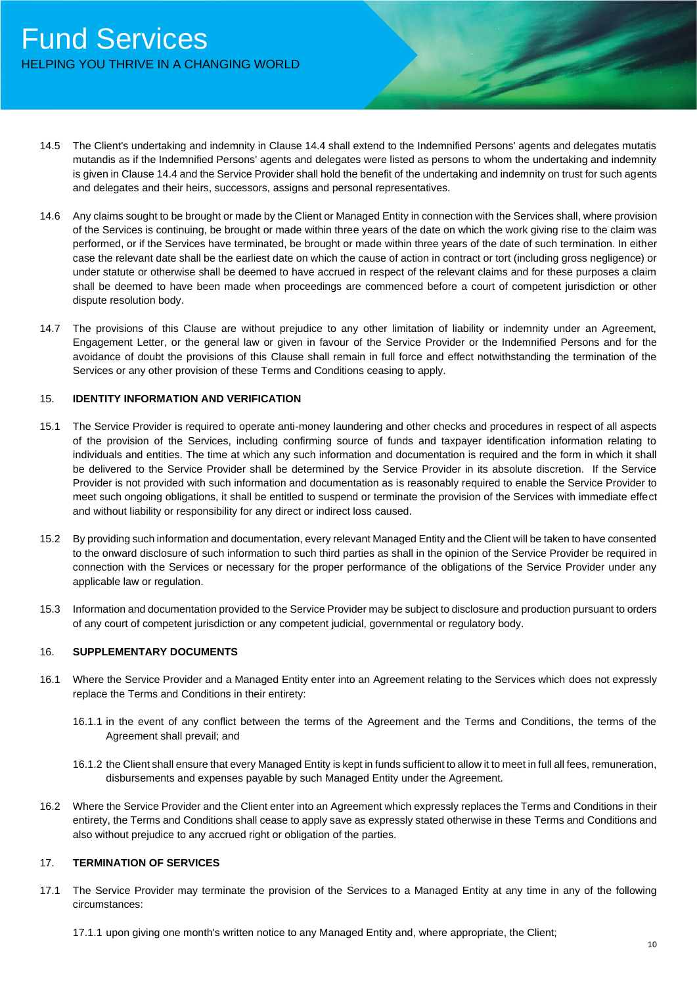- 14.5 The Client's undertaking and indemnity in Clause 14.4 shall extend to the Indemnified Persons' agents and delegates mutatis mutandis as if the Indemnified Persons' agents and delegates were listed as persons to whom the undertaking and indemnity is given in Clause 14.4 and the Service Provider shall hold the benefit of the undertaking and indemnity on trust for such agents and delegates and their heirs, successors, assigns and personal representatives.
- 14.6 Any claims sought to be brought or made by the Client or Managed Entity in connection with the Services shall, where provision of the Services is continuing, be brought or made within three years of the date on which the work giving rise to the claim was performed, or if the Services have terminated, be brought or made within three years of the date of such termination. In either case the relevant date shall be the earliest date on which the cause of action in contract or tort (including gross negligence) or under statute or otherwise shall be deemed to have accrued in respect of the relevant claims and for these purposes a claim shall be deemed to have been made when proceedings are commenced before a court of competent jurisdiction or other dispute resolution body.
- 14.7 The provisions of this Clause are without prejudice to any other limitation of liability or indemnity under an Agreement, Engagement Letter, or the general law or given in favour of the Service Provider or the Indemnified Persons and for the avoidance of doubt the provisions of this Clause shall remain in full force and effect notwithstanding the termination of the Services or any other provision of these Terms and Conditions ceasing to apply.

## 15. **IDENTITY INFORMATION AND VERIFICATION**

- 15.1 The Service Provider is required to operate anti-money laundering and other checks and procedures in respect of all aspects of the provision of the Services, including confirming source of funds and taxpayer identification information relating to individuals and entities. The time at which any such information and documentation is required and the form in which it shall be delivered to the Service Provider shall be determined by the Service Provider in its absolute discretion. If the Service Provider is not provided with such information and documentation as is reasonably required to enable the Service Provider to meet such ongoing obligations, it shall be entitled to suspend or terminate the provision of the Services with immediate effect and without liability or responsibility for any direct or indirect loss caused.
- 15.2 By providing such information and documentation, every relevant Managed Entity and the Client will be taken to have consented to the onward disclosure of such information to such third parties as shall in the opinion of the Service Provider be required in connection with the Services or necessary for the proper performance of the obligations of the Service Provider under any applicable law or regulation.
- 15.3 Information and documentation provided to the Service Provider may be subject to disclosure and production pursuant to orders of any court of competent jurisdiction or any competent judicial, governmental or regulatory body.

## 16. **SUPPLEMENTARY DOCUMENTS**

- 16.1 Where the Service Provider and a Managed Entity enter into an Agreement relating to the Services which does not expressly replace the Terms and Conditions in their entirety:
	- 16.1.1 in the event of any conflict between the terms of the Agreement and the Terms and Conditions, the terms of the Agreement shall prevail; and
	- 16.1.2 the Client shall ensure that every Managed Entity is kept in funds sufficient to allow it to meet in full all fees, remuneration, disbursements and expenses payable by such Managed Entity under the Agreement.
- 16.2 Where the Service Provider and the Client enter into an Agreement which expressly replaces the Terms and Conditions in their entirety, the Terms and Conditions shall cease to apply save as expressly stated otherwise in these Terms and Conditions and also without prejudice to any accrued right or obligation of the parties.

#### 17. **TERMINATION OF SERVICES**

17.1 The Service Provider may terminate the provision of the Services to a Managed Entity at any time in any of the following circumstances:

17.1.1 upon giving one month's written notice to any Managed Entity and, where appropriate, the Client;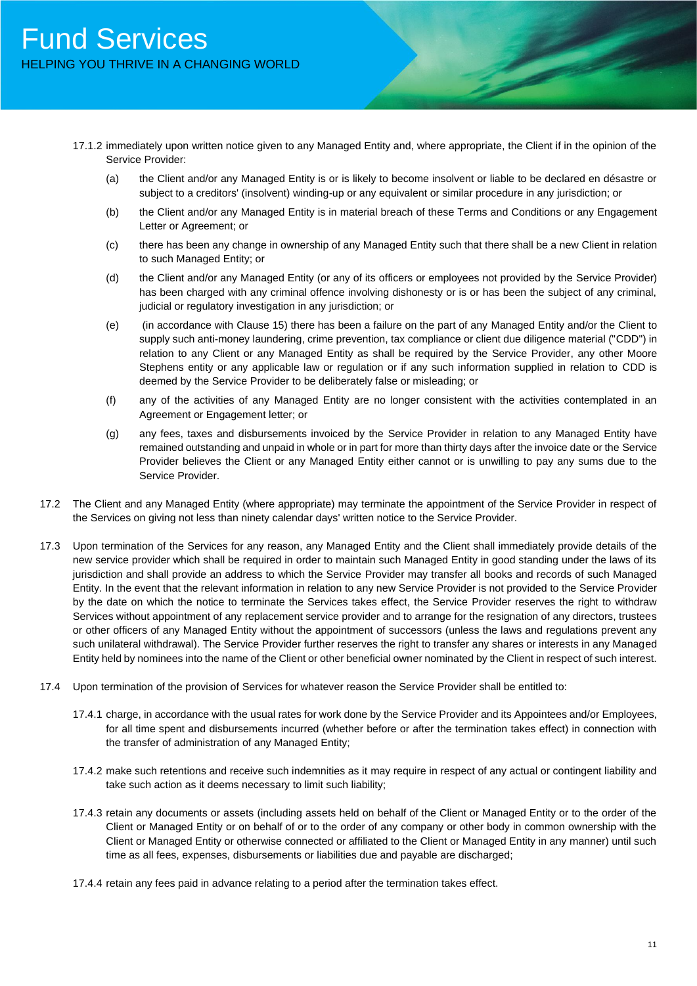- 17.1.2 immediately upon written notice given to any Managed Entity and, where appropriate, the Client if in the opinion of the Service Provider:
	- (a) the Client and/or any Managed Entity is or is likely to become insolvent or liable to be declared en désastre or subject to a creditors' (insolvent) winding-up or any equivalent or similar procedure in any jurisdiction; or
	- (b) the Client and/or any Managed Entity is in material breach of these Terms and Conditions or any Engagement Letter or Agreement; or
	- (c) there has been any change in ownership of any Managed Entity such that there shall be a new Client in relation to such Managed Entity; or
	- (d) the Client and/or any Managed Entity (or any of its officers or employees not provided by the Service Provider) has been charged with any criminal offence involving dishonesty or is or has been the subject of any criminal, judicial or regulatory investigation in any jurisdiction; or
	- (e) (in accordance with Clause 15) there has been a failure on the part of any Managed Entity and/or the Client to supply such anti-money laundering, crime prevention, tax compliance or client due diligence material ("CDD") in relation to any Client or any Managed Entity as shall be required by the Service Provider, any other Moore Stephens entity or any applicable law or regulation or if any such information supplied in relation to CDD is deemed by the Service Provider to be deliberately false or misleading; or
	- (f) any of the activities of any Managed Entity are no longer consistent with the activities contemplated in an Agreement or Engagement letter; or
	- (g) any fees, taxes and disbursements invoiced by the Service Provider in relation to any Managed Entity have remained outstanding and unpaid in whole or in part for more than thirty days after the invoice date or the Service Provider believes the Client or any Managed Entity either cannot or is unwilling to pay any sums due to the Service Provider.
- 17.2 The Client and any Managed Entity (where appropriate) may terminate the appointment of the Service Provider in respect of the Services on giving not less than ninety calendar days' written notice to the Service Provider.
- 17.3 Upon termination of the Services for any reason, any Managed Entity and the Client shall immediately provide details of the new service provider which shall be required in order to maintain such Managed Entity in good standing under the laws of its jurisdiction and shall provide an address to which the Service Provider may transfer all books and records of such Managed Entity. In the event that the relevant information in relation to any new Service Provider is not provided to the Service Provider by the date on which the notice to terminate the Services takes effect, the Service Provider reserves the right to withdraw Services without appointment of any replacement service provider and to arrange for the resignation of any directors, trustees or other officers of any Managed Entity without the appointment of successors (unless the laws and regulations prevent any such unilateral withdrawal). The Service Provider further reserves the right to transfer any shares or interests in any Managed Entity held by nominees into the name of the Client or other beneficial owner nominated by the Client in respect of such interest.
- 17.4 Upon termination of the provision of Services for whatever reason the Service Provider shall be entitled to:
	- 17.4.1 charge, in accordance with the usual rates for work done by the Service Provider and its Appointees and/or Employees, for all time spent and disbursements incurred (whether before or after the termination takes effect) in connection with the transfer of administration of any Managed Entity;
	- 17.4.2 make such retentions and receive such indemnities as it may require in respect of any actual or contingent liability and take such action as it deems necessary to limit such liability;
	- 17.4.3 retain any documents or assets (including assets held on behalf of the Client or Managed Entity or to the order of the Client or Managed Entity or on behalf of or to the order of any company or other body in common ownership with the Client or Managed Entity or otherwise connected or affiliated to the Client or Managed Entity in any manner) until such time as all fees, expenses, disbursements or liabilities due and payable are discharged;
	- 17.4.4 retain any fees paid in advance relating to a period after the termination takes effect.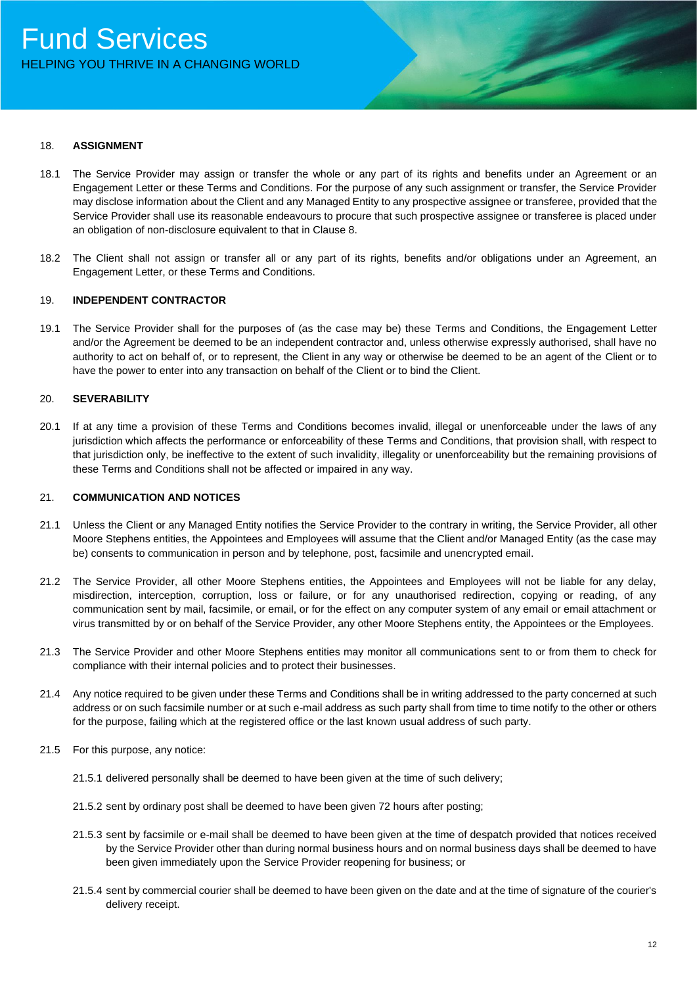#### 18. **ASSIGNMENT**

- 18.1 The Service Provider may assign or transfer the whole or any part of its rights and benefits under an Agreement or an Engagement Letter or these Terms and Conditions. For the purpose of any such assignment or transfer, the Service Provider may disclose information about the Client and any Managed Entity to any prospective assignee or transferee, provided that the Service Provider shall use its reasonable endeavours to procure that such prospective assignee or transferee is placed under an obligation of non-disclosure equivalent to that in Clause 8.
- 18.2 The Client shall not assign or transfer all or any part of its rights, benefits and/or obligations under an Agreement, an Engagement Letter, or these Terms and Conditions.

## 19. **INDEPENDENT CONTRACTOR**

19.1 The Service Provider shall for the purposes of (as the case may be) these Terms and Conditions, the Engagement Letter and/or the Agreement be deemed to be an independent contractor and, unless otherwise expressly authorised, shall have no authority to act on behalf of, or to represent, the Client in any way or otherwise be deemed to be an agent of the Client or to have the power to enter into any transaction on behalf of the Client or to bind the Client.

## 20. **SEVERABILITY**

20.1 If at any time a provision of these Terms and Conditions becomes invalid, illegal or unenforceable under the laws of any jurisdiction which affects the performance or enforceability of these Terms and Conditions, that provision shall, with respect to that jurisdiction only, be ineffective to the extent of such invalidity, illegality or unenforceability but the remaining provisions of these Terms and Conditions shall not be affected or impaired in any way.

#### 21. **COMMUNICATION AND NOTICES**

- 21.1 Unless the Client or any Managed Entity notifies the Service Provider to the contrary in writing, the Service Provider, all other Moore Stephens entities, the Appointees and Employees will assume that the Client and/or Managed Entity (as the case may be) consents to communication in person and by telephone, post, facsimile and unencrypted email.
- 21.2 The Service Provider, all other Moore Stephens entities, the Appointees and Employees will not be liable for any delay, misdirection, interception, corruption, loss or failure, or for any unauthorised redirection, copying or reading, of any communication sent by mail, facsimile, or email, or for the effect on any computer system of any email or email attachment or virus transmitted by or on behalf of the Service Provider, any other Moore Stephens entity, the Appointees or the Employees.
- 21.3 The Service Provider and other Moore Stephens entities may monitor all communications sent to or from them to check for compliance with their internal policies and to protect their businesses.
- 21.4 Any notice required to be given under these Terms and Conditions shall be in writing addressed to the party concerned at such address or on such facsimile number or at such e-mail address as such party shall from time to time notify to the other or others for the purpose, failing which at the registered office or the last known usual address of such party.
- 21.5 For this purpose, any notice:
	- 21.5.1 delivered personally shall be deemed to have been given at the time of such delivery;
	- 21.5.2 sent by ordinary post shall be deemed to have been given 72 hours after posting;
	- 21.5.3 sent by facsimile or e-mail shall be deemed to have been given at the time of despatch provided that notices received by the Service Provider other than during normal business hours and on normal business days shall be deemed to have been given immediately upon the Service Provider reopening for business; or
	- 21.5.4 sent by commercial courier shall be deemed to have been given on the date and at the time of signature of the courier's delivery receipt.